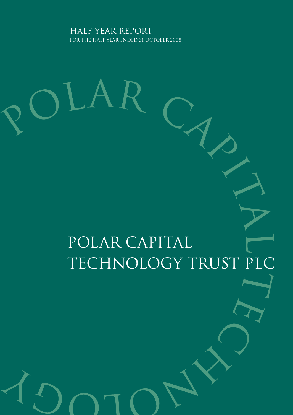Half Year report for the half year ended 31 october 2008

# Polar Capital Technology Trust PLC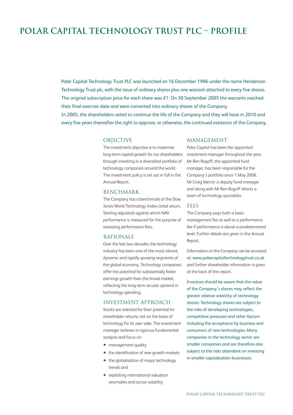### **Polar Capital Technology Trust Plc – ProfilE**

Polar Capital Technology Trust PLC was launched on 16 December 1996 under the name Henderson Technology Trust plc, with the issue of ordinary shares plus one warrant attached to every five shares. The original subscription price for each share was £1. On 30 September 2005 the warrants reached their final exercise date and were converted into ordinary shares of the Company. In 2005, the shareholders voted to continue the life of the Company and they will have in 2010 and every five years thereafter the right to approve, or otherwise, the continued existence of the Company.

### **OBJECTIVE**

The investment objective is to maximise long-term capital growth for our shareholders through investing in a diversified portfolio of technology companies around the world. The investment policy is set out in full in the Annual Report.

### BENCHMARK

The Company has a benchmark of the Dow Jones World Technology Index (total return, Sterling adjusted) against which NAV performance is measured for the purpose of assessing performance fees.

### RATIONALE

Over the last two decades the technology industry has been one of the most vibrant, dynamic and rapidly growing segments of the global economy. Technology companies offer the potential for substantially faster earnings growth than the broad market, reflecting the long-term secular uptrend in technology spending.

#### INVESTMENT APPROACH

Stocks are selected for their potential for shareholder returns, not on the basis of technology for its own sake. The investment manager believes in rigorous fundamental analysis and focus on:

- management quality
- the identification of new growth markets
- the globalisation of major technology trends and
- exploiting international valuation anomalies and sector volatility

### MANAGEMENT

Polar Capital has been the appointed investment manager throughout the year. Mr Ben Rogoff, the appointed fund manager, has been responsible for the Company's portfolio since 1 May 2006. Mr Craig Mercer is deputy fund manager and along with Mr Ben Rogoff directs a team of technology specialists.

#### FEES

The Company pays both a basic management fee as well as a performance fee if performance is above a predetermined level. Further details are given in the Annual Report.

Information on the Company can be accessed at: www.polarcapitaltechnologytrust.co.uk and further shareholder information is given at the back of this report.

Investors should be aware that the value of the Company's shares may reflect the greater relative volatility of technology shares. Technology shares are subject to the risks of developing technologies, competitive pressures and other factors including the acceptance by business and consumers of new technologies. Many companies in the technology sector are smaller companies and are therefore also subject to the risks attendant on investing in smaller capitalisation businesses.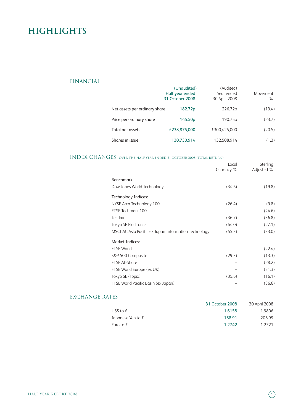### **Highlights**

### FINANCIAL

|                               | (Unaudited)<br>Half year ended<br>31 October 2008 | (Audited)<br>Year ended<br>30 April 2008 | Movement<br>$\%$ |
|-------------------------------|---------------------------------------------------|------------------------------------------|------------------|
| Net assets per ordinary share | 182.72p                                           | 226.72p                                  | (19.4)           |
| Price per ordinary share      | 145.50 <sub>p</sub>                               | 190.75 <sub>p</sub>                      | (23.7)           |
| Total net assets              | £238.875.000                                      | £300.425.000                             | (20.5)           |
| Shares in issue               | 130,730,914                                       | 132,508,914                              | (1.3)            |

### INDEX CHANGES over the half year ended <sup>31</sup> october <sup>2008</sup> (Total Return)

|                                                      | Local<br>Currency % | Sterling<br>Adjusted % |
|------------------------------------------------------|---------------------|------------------------|
| Benchmark                                            |                     |                        |
| Dow Jones World Technology                           | (34.6)              | (19.8)                 |
| Technology Indices:                                  |                     |                        |
| NYSE Arca Technology 100                             | (26.4)              | (9.8)                  |
| FTSE Techmark 100                                    |                     | (24.6)                 |
| <b>Tecdax</b>                                        | (36.7)              | (36.8)                 |
| Tokyo SE Electronics                                 | (44.0)              | (27.1)                 |
| MSCI AC Asia Pacific ex Japan Information Technology | (45.3)              | (33.0)                 |
| <b>Market Indices:</b>                               |                     |                        |
| <b>FTSE World</b>                                    |                     | (22.4)                 |
| S&P 500 Composite                                    | (29.3)              | (13.3)                 |
| <b>FTSE All-Share</b>                                |                     | (28.2)                 |
| FTSE World Europe (ex UK)                            |                     | (31.3)                 |
| Tokyo SE (Topix)                                     | (35.6)              | (16.1)                 |
| FTSE World Pacific Basin (ex Japan)                  |                     | (36.6)                 |

### EXCHANGE RATES

|                     | 31 October 2008 | 30 April 2008 |
|---------------------|-----------------|---------------|
| US\$ to $f$         | 1.6158          | 1.9806        |
| Japanese Yen to $f$ | 158.91          | 206.99        |
| Euro to $f$         | 1.2742          | 1 2 7 2 1     |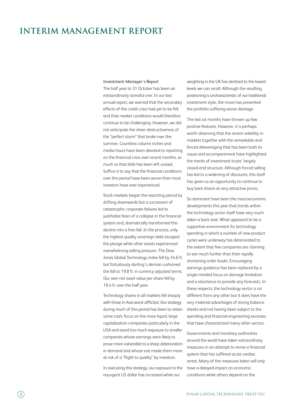### **Interim Management Report**

#### Investment Manager's Report

The half year to 31 October has been an extraordinarily stressful one. In our last annual report, we warned that the secondary effects of the credit crisis had yet to be felt and that market conditions would therefore continue to be challenging. However, we did not anticipate the sheer destructiveness of the "perfect storm" that broke over the summer. Countless column inches and media hours have been devoted to reporting on the financial crisis over recent months, so much so that little has been left unsaid. Suffice it to say that the financial conditions over this period have been worse than most investors have ever experienced.

Stock markets began the reporting period by drifting downwards but a succession of catastrophic corporate failures led to justifiable fears of a collapse in the financial system and, dramatically transformed this decline into a free-fall. In the process, only the highest quality sovereign debt escaped the plunge while other assets experienced overwhelming selling pressure. The Dow Jones Global Technology index fell by 34.6% but fortuitously sterling's demise cushioned the fall to 19.8% in currency adjusted terms. Our own net asset value per share fell by 19.4% over the half year.

Technology shares in all markets fell sharply with those in Asia worst afflicted. Our strategy during much of this period has been to retain some cash, focus on the more liquid, large capitalisation companies particularly in the USA and avoid too much exposure to smaller companies whose earnings were likely to prove more vulnerable to a sharp deterioration in demand and whose size made them more at risk of a "flight to quality" by investors.

In executing this strategy, our exposure to the resurgent US dollar has increased while our

weighting in the UK has declined to the lowest levels we can recall. Although the resulting positioning is uncharacteristic of our traditional investment style, the move has prevented the portfolio suffering worse damage.

The last six months have thrown up few positive features. However, it is perhaps worth observing that the recent volatility in markets together with the remarkable and forced deleveraging that has been both its cause and accompaniment have highlighted the merits of investment trusts' largely closed-end structure. Although forced selling has led to a widening of discounts, this itself has given us an opportunity to continue to buy back shares at very attractive prices.

So dominant have been the macroeconomic developments this year that trends within the technology sector itself have very much taken a back seat. What appeared to be a supportive environment for technology spending in which a number of new product cycles were underway has deteriorated to the extent that few companies are claiming to see much further than their rapidly shortening order books. Encouraging earnings guidance has been replaced by a single-minded focus on damage limitation and a reluctance to provide any forecasts. In these respects, the technology sector is no different from any other but it does have the very material advantages of strong balance sheets and not having been subject to the spending and financial engineering excesses that have characterised many other sectors.

Governments and monetary authorities around the world have taken extraordinary measures in an attempt to revive a financial system that has suffered acute cardiac arrest. Many of the measures taken will only have a delayed impact on economic conditions while others depend on the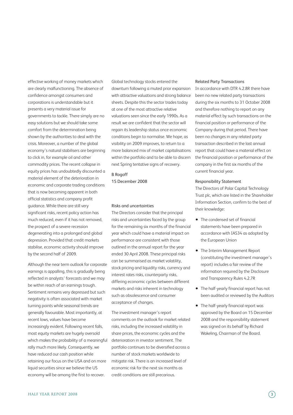effective working of money markets which are clearly malfunctioning. The absence of confidence amongst consumers and corporations is understandable but it presents a very material issue for governments to tackle. There simply are no easy solutions but we should take some comfort from the determination being shown by the authorities to deal with the crisis. Moreover, a number of the global economy's natural stabilisers are beginning to click in, for example oil and other commodity prices. The recent collapse in equity prices has undoubtedly discounted a material element of the deterioration in economic and corporate trading conditions that is now becoming apparent in both official statistics and company profit guidance. While there are still very significant risks, recent policy action has much reduced, even if it has not removed, the prospect of a severe recession degenerating into a prolonged and global depression. Provided that credit markets stabilise, economic activity should improve by the second half of 2009.

Although the near term outlook for corporate earnings is appalling, this is gradually being reflected in analysts' forecasts and we may be within reach of an earnings trough. Sentiment remains very depressed but such negativity is often associated with market turning points while seasonal trends are generally favourable. Most importantly, at recent lows, values have become increasingly evident. Following recent falls, most equity markets are hugely oversold which makes the probability of a meaningful rally much more likely. Consequently, we have reduced our cash position while retaining our focus on the USA and on more liquid securities since we believe the US economy will be among the first to recover.

Global technology stocks entered the downturn following a muted prior expansion with attractive valuations and strong balance sheets. Despite this the sector trades today at one of the most attractive relative valuations seen since the early 1990s. As a result we are confident that the sector will regain its leadership status once economic conditions begin to normalise. We hope, as visibility on 2009 improves, to return to a more balanced mix of market capitalisations within the portfolio and to be able to discern next Spring tentative signs of recovery.

B Rogoff 15 December 2008

#### Risks and uncertainties

The Directors consider that the principal risks and uncertainties faced by the group for the remaining six months of the financial year which could have a material impact on performance are consistent with those outlined in the annual report for the year ended 30 April 2008. These principal risks can be summarised as market volatility, stock pricing and liquidity risks, currency and interest rates risks, counterparty risks, differing economic cycles between different markets and risks inherent in technology such as obsolescence and consumer acceptance of changes.

The investment manager's report comments on the outlook for market related risks, including the increased volatility in share prices, the economic cycles and the deterioration in investor sentiment. The portfolio continues to be diversified across a number of stock markets worldwide to mitigate risk. There is an increased level of economic risk for the next six months as credit conditions are still precarious.

#### Related Party Transactions

In accordance with DTR 4.2.8R there have been no new related party transactions during the six months to 31 October 2008 and therefore nothing to report on any material effect by such transactions on the financial position or performance of the Company during that period. There have been no changes in any related party transaction described in the last annual report that could have a material effect on the financial position or performance of the company in the first six months of the current financial year.

#### Responsibility Statement

The Directors of Polar Capital Technology Trust plc, which are listed in the Shareholder Information Section, confirm to the best of their knowledge:

- The condensed set of financial statements have been prepared in accordance with IAS34 as adopted by the European Union
- The Interim Management Report (constituting the investment manager's report) includes a fair review of the information required by the Disclosure and Transparency Rules 4.2.7R
- The half-yearly financial report has not been audited or reviewed by the Auditors
- The half-yearly financial report was approved by the Board on 15 December 2008 and the responsibility statement was signed on its behalf by Richard Wakeling, Chairman of the Board.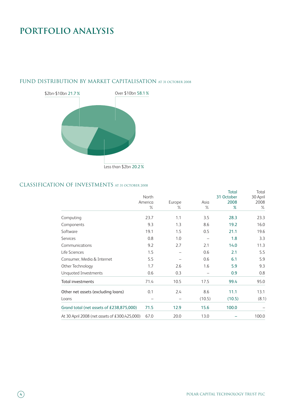# **PORTFOLIO ANALYSIS**



### FUND DISTRIBUTION BY MARKET CAPITALISATION AT 31 OCTOBER 2008

### CLASSIFICATION OF INVESTMENTS at <sup>31</sup> october <sup>2008</sup>

|                                               | North<br>America<br>℅ | Europe<br>$\%$ | Asia<br>$\%$ | <b>Total</b><br>31 October<br>2008<br>% | Total<br>30 April<br>2008<br>$\%$ |
|-----------------------------------------------|-----------------------|----------------|--------------|-----------------------------------------|-----------------------------------|
| Computing                                     | 23.7                  | 1.1            | 3.5          | 28.3                                    | 23.3                              |
| Components                                    | 9.3                   | 1.3            | 8.6          | 19.2                                    | 16.0                              |
| Software                                      | 19.1                  | 1.5            | 0.5          | 21.1                                    | 19.6                              |
| Services                                      | 0.8                   | 1.0            |              | 1.8                                     | 3.3                               |
| Communications                                | 9.2                   | 2.7            | 2.1          | 14.0                                    | 11.3                              |
| Life Sciences                                 | 1.5                   |                | 0.6          | 2.1                                     | 5.5                               |
| Consumer, Media & Internet                    | 5.5                   |                | 0.6          | 6.1                                     | 5.9                               |
| Other Technology                              | 1.7                   | 2.6            | 1.6          | 5.9                                     | 9.3                               |
| <b>Unquoted Investments</b>                   | 0.6                   | 0.3            |              | 0.9                                     | 0.8                               |
| <b>Total investments</b>                      | 71.4                  | 10.5           | 17.5         | 99.4                                    | 95.0                              |
| Other net assets (excluding loans)            | 0.1                   | 2.4            | 8.6          | 11.1                                    | 13.1                              |
| Loans                                         |                       |                | (10.5)       | (10.5)                                  | (8.1)                             |
| Grand total (net assets of £238,875,000)      | 71.5                  | 12.9           | 15.6         | 100.0                                   |                                   |
| At 30 April 2008 (net assets of £300,425,000) | 67.0                  | 20.0           | 13.0         |                                         | 100.0                             |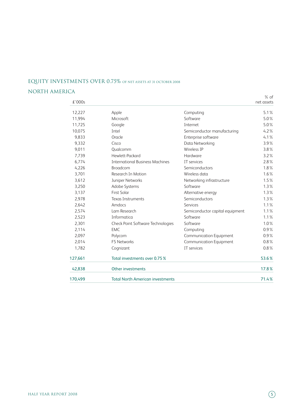### EQUITY INVESTMENTS OVER 0.75% of net assets at <sup>31</sup> october <sup>2008</sup>

### NORTH AMERICA

|         |                                         |                                 | $%$ of     |
|---------|-----------------------------------------|---------------------------------|------------|
| £'000s  |                                         |                                 | net assets |
| 12,227  | Apple                                   | Computing                       | 5.1%       |
| 11,994  | Microsoft                               | Software                        | 5.0%       |
| 11,725  | Google                                  | Internet                        | 5.0%       |
| 10,075  | Intel                                   | Semiconductor manufacturing     | 4.2%       |
| 9,833   | Oracle                                  | Enterprise software             | 4.1%       |
| 9,332   | Cisco                                   | Data Networking                 | 3.9%       |
| 9,011   | Qualcomm                                | Wireless IP                     | 3.8%       |
| 7,739   | Hewlett-Packard                         | Hardware                        | 3.2%       |
| 6,774   | <b>International Business Machines</b>  | IT services                     | 2.8%       |
| 4,226   | <b>Broadcom</b>                         | Semiconductors                  | 1.8%       |
| 3,701   | Research In Motion                      | Wireless data                   | 1.6%       |
| 3,612   | Juniper Networks                        | Networking infrastructure       | 1.5%       |
| 3,250   | Adobe Systems                           | Software                        | 1.3%       |
| 3,137   | <b>First Solar</b>                      | Alternative energy              | 1.3%       |
| 2,978   | <b>Texas Instruments</b>                | Semiconductors                  | 1.3%       |
| 2.642   | Amdocs                                  | Services                        | 1.1%       |
| 2,574   | Lam Research                            | Semiconductor capital equipment | 1.1%       |
| 2,523   | Informatica                             | Software                        | 1.1%       |
| 2,301   | Check Point Software Technologies       | Software                        | 1.0%       |
| 2,114   | <b>EMC</b>                              | Computing                       | 0.9%       |
| 2,097   | Polycom                                 | <b>Communication Equipment</b>  | 0.9%       |
| 2,014   | F5 Networks                             | <b>Communication Equipment</b>  | 0.8%       |
| 1,782   | Cognizant                               | IT services                     | 0.8%       |
| 127,661 | Total investments over 0.75 %           |                                 | 53.6%      |
| 42,838  | Other investments                       |                                 | 17.8%      |
| 170,499 | <b>Total North American investments</b> |                                 | 71.4%      |
|         |                                         |                                 |            |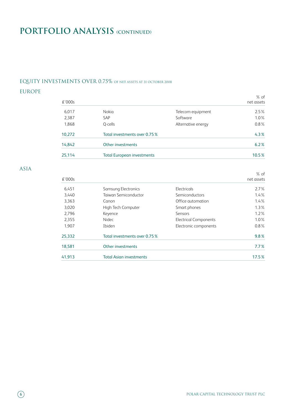# **PORTFOLIO ANALYSIS (continued)**

### EQUITY INVESTMENTS OVER 0.75% of net assets at <sup>31</sup> october <sup>2008</sup>

### EUROPE

|        |                                   |                    | $%$ of     |
|--------|-----------------------------------|--------------------|------------|
| £'000s |                                   |                    | net assets |
| 6,017  | Nokia                             | Telecom equipment  | 2.5%       |
| 2,387  | <b>SAP</b>                        | Software           | $1.0\%$    |
| 1,868  | Q-cells                           | Alternative energy | $0.8\%$    |
| 10,272 | Total investments over 0.75%      |                    | 4.3%       |
| 14,842 | Other investments                 |                    | 6.2%       |
| 25,114 | <b>Total European investments</b> |                    | $10.5\%$   |

### ASIA

| £'000s |                               |                              | $%$ of<br>net assets |
|--------|-------------------------------|------------------------------|----------------------|
| 6,451  | Samsung Electronics           | Electricals                  | 2.7%                 |
| 3,440  | Taiwan Semiconductor          | Semiconductors               | $1.4\%$              |
| 3,363  | Canon                         | Office automation            | $1.4\%$              |
| 3,020  | High Tech Computer            | Smart phones                 | $1.3\%$              |
| 2,796  | Keyence                       | Sensors                      | $1.2\%$              |
| 2,355  | Nidec                         | <b>Electrical Components</b> | $1.0\%$              |
| 1.907  | Ibiden                        | Electronic components        | $0.8\%$              |
| 25,332 | Total investments over 0.75 % |                              | 9.8%                 |
| 18,581 | Other investments             |                              | 7.7%                 |
| 41,913 | Total Asian investments       |                              | 17.5%                |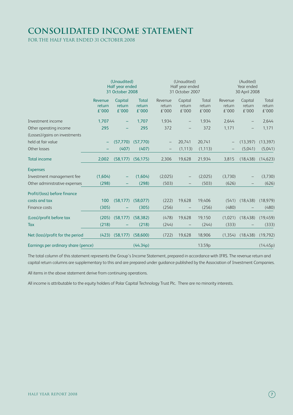# **Consolidated income statement**

for the half year ended 31 october 2008

|                                                         | (Unaudited)<br>Half year ended<br>31 October 2008 |                            |                                 | (Unaudited)<br>Half year ended<br>31 October 2007 |                            |                          | (Audited)<br>Year ended<br>30 April 2008 |                            |                          |
|---------------------------------------------------------|---------------------------------------------------|----------------------------|---------------------------------|---------------------------------------------------|----------------------------|--------------------------|------------------------------------------|----------------------------|--------------------------|
|                                                         | Revenue<br>return<br>£'000                        | Capital<br>return<br>€'000 | <b>Total</b><br>return<br>€'000 | Revenue<br>return<br>£'000                        | Capital<br>return<br>£'000 | Total<br>return<br>£'000 | Revenue<br>return<br>£'000               | Capital<br>return<br>£'000 | Total<br>return<br>€'000 |
| Investment income                                       | 1,707                                             |                            | 1,707                           | 1,934                                             |                            | 1,934                    | 2,644                                    |                            | 2,644                    |
| Other operating income<br>(Losses)/gains on investments | 295                                               |                            | 295                             | 372                                               |                            | 372                      | 1,171                                    | $\qquad \qquad -$          | 1,171                    |
| held at fair value                                      |                                                   | (57,770)                   | (57,770)                        |                                                   | 20,741                     | 20,741                   |                                          | (13, 397)                  | (13, 397)                |
| Other losses                                            |                                                   | (407)                      | (407)                           |                                                   | (1, 113)                   | (1, 113)                 |                                          | (5,041)                    | (5,041)                  |
| <b>Total income</b>                                     | 2,002                                             | (58, 177)                  | (56, 175)                       | 2,306                                             | 19,628                     | 21,934                   | 3,815                                    | (18, 438)                  | (14, 623)                |
| <b>Expenses</b>                                         |                                                   |                            |                                 |                                                   |                            |                          |                                          |                            |                          |
| Investment management fee                               | (1,604)                                           |                            | (1,604)                         | (2,025)                                           |                            | (2,025)                  | (3,730)                                  |                            | (3,730)                  |
| Other administrative expenses                           | (298)                                             |                            | (298)                           | (503)                                             |                            | (503)                    | (626)                                    |                            | (626)                    |
| Profit/(loss) before finance                            |                                                   |                            |                                 |                                                   |                            |                          |                                          |                            |                          |
| costs and tax                                           | 100                                               | (58, 177)                  | (58,077)                        | (222)                                             | 19,628                     | 19,406                   | (541)                                    | (18, 438)                  | (18, 979)                |
| Finance costs                                           | (305)                                             |                            | (305)                           | (256)                                             |                            | (256)                    | (480)                                    |                            | (480)                    |
| (Loss)/profit before tax                                | (205)                                             | (58, 177)                  | (58, 382)                       | (478)                                             | 19,628                     | 19,150                   | (1,021)                                  | (18, 438)                  | (19, 459)                |
| Tax                                                     | (218)                                             |                            | (218)                           | (244)                                             |                            | (244)                    | (333)                                    |                            | (333)                    |
| Net (loss)/profit for the period                        | (423)                                             | (58, 177)                  | (58,600)                        | (722)                                             | 19,628                     | 18,906                   | (1, 354)                                 | (18, 438)                  | (19,792)                 |
| Earnings per ordinary share (pence)                     |                                                   |                            | (44.34p)                        |                                                   |                            | 13.59p                   |                                          |                            | (14.45p)                 |

The total column of this statement represents the Group's Income Statement, prepared in accordance with IFRS. The revenue return and capital return columns are supplementary to this and are prepared under guidance published by the Association of Investment Companies.

All items in the above statement derive from continuing operations.

All income is attributable to the equity holders of Polar Capital Technology Trust Plc. There are no minority interests.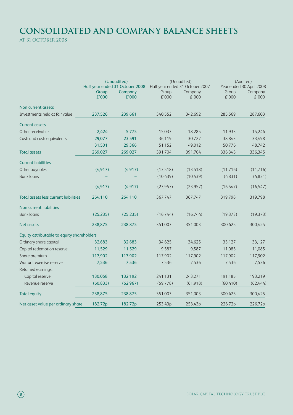# **Consolidated and company balance sheets**

at 31 october 2008

|                                            |                | (Unaudited)<br>Half year ended 31 October 2008 |                | (Unaudited)<br>Half year ended 31 October 2007 | (Audited)<br>Year ended 30 April 2008 |                  |
|--------------------------------------------|----------------|------------------------------------------------|----------------|------------------------------------------------|---------------------------------------|------------------|
|                                            | Group<br>£'000 | Company<br>£'000                               | Group<br>£'000 | Company<br>£'000                               | Group<br>£'000                        | Company<br>£'000 |
| Non current assets                         |                |                                                |                |                                                |                                       |                  |
| Investments held at fair value             | 237,526        | 239,661                                        | 340,552        | 342,692                                        | 285,569                               | 287,603          |
| <b>Current assets</b>                      |                |                                                |                |                                                |                                       |                  |
| Other receivables                          | 2,424          | 5,775                                          | 15,033         | 18,285                                         | 11,933                                | 15,244           |
| Cash and cash equivalents                  | 29,077         | 23,591                                         | 36,119         | 30,727                                         | 38,843                                | 33,498           |
|                                            | 31,501         | 29,366                                         | 51,152         | 49,012                                         | 50,776                                | 48,742           |
| <b>Total assets</b>                        | 269,027        | 269,027                                        | 391,704        | 391,704                                        | 336,345                               | 336,345          |
| <b>Current liabilities</b>                 |                |                                                |                |                                                |                                       |                  |
| Other payables                             | (4, 917)       | (4, 917)                                       | (13,518)       | (13,518)                                       | (11, 716)                             | (11, 716)        |
| <b>Bank loans</b>                          |                |                                                | (10,439)       | (10,439)                                       | (4, 831)                              | (4, 831)         |
|                                            | (4, 917)       | (4, 917)                                       | (23, 957)      | (23, 957)                                      | (16, 547)                             | (16, 547)        |
| Total assets less current liabilities      | 264,110        | 264,110                                        | 367,747        | 367,747                                        | 319,798                               | 319,798          |
| Non current liabilities                    |                |                                                |                |                                                |                                       |                  |
| <b>Bank loans</b>                          | (25, 235)      | (25, 235)                                      | (16, 744)      | (16,744)                                       | (19, 373)                             | (19, 373)        |
| <b>Net assets</b>                          | 238,875        | 238,875                                        | 351,003        | 351,003                                        | 300,425                               | 300,425          |
| Equity attributable to equity shareholders |                |                                                |                |                                                |                                       |                  |
| Ordinary share capital                     | 32,683         | 32,683                                         | 34,625         | 34,625                                         | 33,127                                | 33,127           |
| Capital redemption reserve                 | 11,529         | 11,529                                         | 9,587          | 9,587                                          | 11,085                                | 11,085           |
| Share premium                              | 117,902        | 117,902                                        | 117,902        | 117,902                                        | 117,902                               | 117,902          |
| Warrant exercise reserve                   | 7,536          | 7,536                                          | 7,536          | 7,536                                          | 7,536                                 | 7,536            |
| Retained earnings:                         |                |                                                |                |                                                |                                       |                  |
| Capital reserve                            | 130,058        | 132,192                                        | 241,131        | 243,271                                        | 191,185                               | 193,219          |
| Revenue reserve                            | (60, 833)      | (62, 967)                                      | (59, 778)      | (61, 918)                                      | (60, 410)                             | (62,444)         |
| <b>Total equity</b>                        | 238,875        | 238,875                                        | 351,003        | 351,003                                        | 300,425                               | 300,425          |
| Net asset value per ordinary share         | 182.72p        | 182.72p                                        | 253.43p        | 253.43p                                        | 226.72p                               | 226.72p          |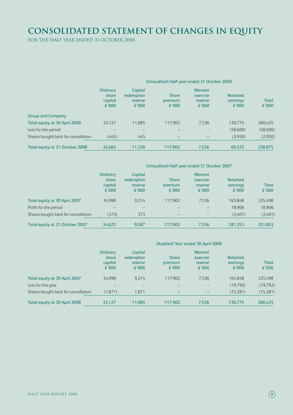# **Consolidated Statement of changes in equity**

for the half year ended 31 october 2008

|                                     |                              | (Unaudited) Half year ended 31 October 2008 |                              |                                |                      |              |  |  |  |
|-------------------------------------|------------------------------|---------------------------------------------|------------------------------|--------------------------------|----------------------|--------------|--|--|--|
|                                     | Ordinary<br>share<br>capital | Capital<br>redemption<br>reserve            | <b>Share</b><br>premium      | Warrant<br>exercise<br>reserve | Retained<br>earnings | <b>Total</b> |  |  |  |
|                                     | £'000                        | £'000                                       | £'000                        | £'000                          | £'000                | £'000        |  |  |  |
| <b>Group and Company</b>            |                              |                                             |                              |                                |                      |              |  |  |  |
| Total equity at 30 April 2008       | 33.127                       | 11.085                                      | 117.902                      | 7,536                          | 130,775              | 300,425      |  |  |  |
| Loss for the period                 |                              |                                             |                              |                                | (58,600)             | (58,600)     |  |  |  |
| Shares bought back for cancellation | (445)                        | 445                                         | $\qquad \qquad \blacksquare$ |                                | (2,950)              | (2,950)      |  |  |  |
| Total equity at 31 October 2008     | 32,682                       | 11,530                                      | 117,902                      | 7,536                          | 69,225               | 238,875      |  |  |  |

### (Unaudited) Half year ended 31 October 2007

|                                     | Ordinary<br>share<br>capital<br>£'000 | Capital<br>redemption<br>reserve<br>£'000 | <b>Share</b><br>premium<br>£'000 | <b>Warrant</b><br>exercise<br>reserve<br>£'000 | Retained<br>earnings<br>£'000 | <b>Total</b><br>£'000 |
|-------------------------------------|---------------------------------------|-------------------------------------------|----------------------------------|------------------------------------------------|-------------------------------|-----------------------|
| Total equity at 30 April 2007       | 34.998                                | 9.214                                     | 117.902                          | 7.536                                          | 165.848                       | 335,498               |
| Profit for the period               |                                       |                                           |                                  |                                                | 18.906                        | 18.906                |
| Shares bought back for cancellation | (373)                                 | 373                                       |                                  |                                                | (3,401)                       | (3,401)               |
| Total equity at 31 October 2007     | 34,625                                | 9.587                                     | 117.902                          | 7.536                                          | 181.353                       | 351,003               |

### (Audited) Year ended 30 April 2008

|                                     | Ordinary<br>share<br>capital<br>£'000 | Capital<br>redemption<br>reserve<br>£'000 | <b>Share</b><br>premium<br>£'000 | <b>Warrant</b><br>exercise<br>reserve<br>£'000 | Retained<br>earnings<br>£'000 | <b>Total</b><br>£'000 |
|-------------------------------------|---------------------------------------|-------------------------------------------|----------------------------------|------------------------------------------------|-------------------------------|-----------------------|
| Total equity at 30 April 2007       | 34.998                                | 9.214                                     | 117.902                          | 7.536                                          | 165.848                       | 335,498               |
| Loss for the year                   | –                                     |                                           |                                  |                                                | (19,792)                      | (19, 792)             |
| Shares bought back for cancellation | (1,871)                               | 1,871                                     | $\overline{\phantom{0}}$         |                                                | (15,281)                      | (15, 281)             |
| Total equity at 30 April 2008       | 33,127                                | 11,085                                    | 117.902                          | 7,536                                          | 130,775                       | 300,425               |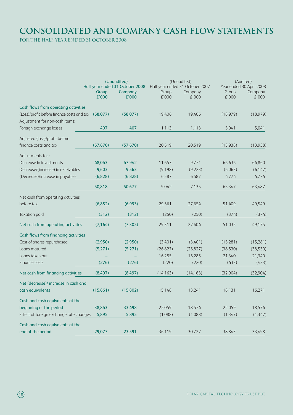# **Consolidated and company Cash Flow Statements**

for the half year ended 31 october 2008

|                                                     | (Unaudited)<br>Half year ended 31 October 2008 |                  | (Unaudited)<br>Half year ended 31 October 2007 |                  | (Audited)<br>Year ended 30 April 2008 |                  |
|-----------------------------------------------------|------------------------------------------------|------------------|------------------------------------------------|------------------|---------------------------------------|------------------|
|                                                     | Group<br>£'000                                 | Company<br>£'000 | Group<br>£'000                                 | Company<br>£'000 | Group<br>£'000                        | Company<br>£'000 |
| Cash flows from operating activities                |                                                |                  |                                                |                  |                                       |                  |
| (Loss)/profit before finance costs and tax (58,077) |                                                | (58,077)         | 19,406                                         | 19,406           | (18, 979)                             | (18, 979)        |
| Adjustment for non-cash items:                      |                                                |                  |                                                |                  |                                       |                  |
| Foreign exchange losses                             | 407                                            | 407              | 1,113                                          | 1,113            | 5,041                                 | 5,041            |
| Adjusted (loss)/profit before                       |                                                |                  |                                                |                  |                                       |                  |
| finance costs and tax                               | (57, 670)                                      | (57, 670)        | 20,519                                         | 20,519           | (13,938)                              | (13,938)         |
| Adjustments for:                                    |                                                |                  |                                                |                  |                                       |                  |
| Decrease in investments                             | 48,043                                         | 47,942           | 11,653                                         | 9,771            | 66,636                                | 64,860           |
| Decrease/(increase) in receivables                  | 9,603                                          | 9,563            | (9,198)                                        | (9,223)          | (6,063)                               | (6, 147)         |
| (Decrease)/increase in payables                     | (6,828)                                        | (6,828)          | 6,587                                          | 6,587            | 4,774                                 | 4,774            |
|                                                     | 50,818                                         | 50,677           | 9,042                                          | 7,135            | 65,347                                | 63,487           |
| Net cash from operating activities                  |                                                |                  |                                                |                  |                                       |                  |
| before tax                                          | (6,852)                                        | (6,993)          | 29,561                                         | 27,654           | 51,409                                | 49,549           |
| Taxation paid                                       | (312)                                          | (312)            | (250)                                          | (250)            | (374)                                 | (374)            |
| Net cash from operating activities                  | (7, 164)                                       | (7, 305)         | 29,311                                         | 27,404           | 51,035                                | 49,175           |
| Cash flows from financing activities                |                                                |                  |                                                |                  |                                       |                  |
| Cost of shares repurchased                          | (2,950)                                        | (2,950)          | (3,401)                                        | (3,401)          | (15,281)                              | (15, 281)        |
| Loans matured                                       | (5,271)                                        | (5,271)          | (26, 827)                                      | (26, 827)        | (38, 530)                             | (38, 530)        |
| Loans taken out                                     |                                                |                  | 16,285                                         | 16,285           | 21,340                                | 21,340           |
| Finance costs                                       | (276)                                          | (276)            | (220)                                          | (220)            | (433)                                 | (433)            |
| Net cash from financing activities                  | (8,497)                                        | (8,497)          | (14, 163)                                      | (14, 163)        | (32,904)                              | (32,904)         |
| Net (decrease)/ increase in cash and                |                                                |                  |                                                |                  |                                       |                  |
| cash equivalents                                    | (15,661)                                       | (15,802)         | 15,148                                         | 13,241           | 18,131                                | 16,271           |
| Cash and cash equivalents at the                    |                                                |                  |                                                |                  |                                       |                  |
| beginning of the period                             | 38,843                                         | 33,498           | 22,059                                         | 18,574           | 22,059                                | 18,574           |
| Effect of foreign exchange rate changes             | 5,895                                          | 5,895            | (1,088)                                        | (1,088)          | (1, 347)                              | (1, 347)         |
| Cash and cash equivalents at the                    |                                                |                  |                                                |                  |                                       |                  |
| end of the period                                   | 29,077                                         | 23,591           | 36,119                                         | 30,727           | 38,843                                | 33,498           |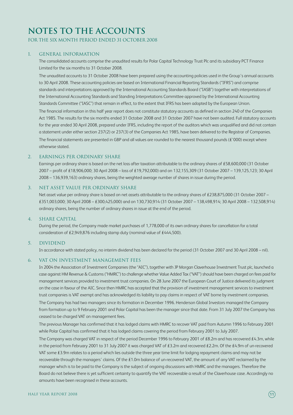### **Notes to the Accounts**

for the six month period ended 31 october 2008

### 1. General Information

The consolidated accounts comprise the unaudited results for Polar Capital Technology Trust Plc and its subsidiary PCT Finance Limited for the six months to 31 October 2008.

The unaudited accounts to 31 October 2008 have been prepared using the accounting policies used in the Group's annual accounts to 30 April 2008. These accounting policies are based on International Financial Reporting Standards ("IFRS") and comprise standards and interpretations approved by the International Accounting Standards Board ("IASB") together with interpretations of the International Accounting Standards and Standing Interpretations Committee approved by the International Accounting Standards Committee ("IASC") that remain in effect, to the extent that IFRS has been adopted by the European Union.

The financial information in this half year report does not constitute statutory accounts as defined in section 240 of the Companies Act 1985. The results for the six months ended 31 October 2008 and 31 October 2007 have not been audited. Full statutory accounts for the year ended 30 April 2008, prepared under IFRS, including the report of the auditors which was unqualified and did not contain a statement under either section 237(2) or 237(3) of the Companies Act 1985, have been delivered to the Registrar of Companies. The financial statements are presented in GBP and all values are rounded to the nearest thousand pounds ( $E'$ 000) except where otherwise stated.

### 2. Earnings per ordinary share

Earnings per ordinary share is based on the net loss after taxation attributable to the ordinary shares of £58,600,000 (31 October 2007 – profit of £18,906,000; 30 April 2008 – loss of £19,792,000) and on 132,155,309 (31 October 2007 – 139,125,123; 30 April 2008 – 136,939,163) ordinary shares, being the weighted average number of shares in issue during the period.

### 3. Net asset value per ordinary share

Net asset value per ordinary share is based on net assets attributable to the ordinary shares of £238,875,000 (31 October 2007 – £351,003,000; 30 April 2008 – £300,425,000) and on 130,730,914 (31 October 2007 – 138,498,914; 30 April 2008 – 132,508,914) ordinary shares, being the number of ordinary shares in issue at the end of the period.

### 4. Share capital

During the period, the Company made market purchases of 1,778,000 of its own ordinary shares for cancellation for a total consideration of £2,949,876 including stamp duty (nominal value of £444,500).

### 5. Dividend

In accordance with stated policy, no interim dividend has been declared for the period (31 October 2007 and 30 April 2008 – nil).

### 6. VAT on investment management fees

In 2004 the Association of Investment Companies (the "AIC"), together with JP Morgan Claverhouse Investment Trust plc, launched a case against HM Revenue & Customs ("HMRC") to challenge whether Value Added Tax ("VAT") should have been charged on fees paid for management services provided to investment trust companies. On 28 June 2007 the European Court of Justice delivered its judgment on the case in favour of the AIC. Since then HMRC has accepted that the provision of investment management services to investment trust companies is VAT exempt and has acknowledged its liability to pay claims in respect of VAT borne by investment companies. The Company has had two managers since its formation in December 1996. Henderson Global Investors managed the Company from formation up to 9 February 2001 and Polar Capital has been the manager since that date. From 31 July 2007 the Company has ceased to be charged VAT on management fees.

The previous Manager has confirmed that it has lodged claims with HMRC to recover VAT paid from Autumn 1996 to February 2001 while Polar Capital has confirmed that it has lodged claims covering the period from February 2001 to July 2007.

The Company was charged VAT in respect of the period December 1996 to February 2001 of £8.2m and has recovered £4.3m, while in the period from February 2001 to 31 July 2007 it was charged VAT of £3.2m and recovered £2.2m. Of the £4.9m of un-recovered VAT some £3.9m relates to a period which lies outside the three year time limit for lodging repayment claims and may not be recoverable through the managers' claims. Of the £1.0m balance of un-recovered VAT, the amount of any VAT reclaimed by the manager which is to be paid to the Company is the subject of ongoing discussions with HMRC and the managers. Therefore the Board do not believe there is yet sufficient certainty to quantify the VAT recoverable a result of the Claverhouse case. Accordingly no amounts have been recognised in these accounts.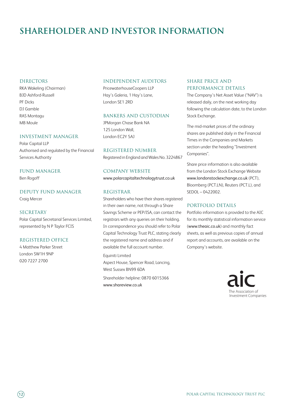### **shareholder and investor information**

#### **DIRECTORS**

RKA Wakeling (Chairman) BJD Ashford-Russell PF Dicks DJ Gamble RAS Montagu MB Moule

#### Investment Manager

Polar Capital LLP Authorised and regulated by the Financial Services Authority

### Fund Manager

Ben Rogoff

Deputy Fund Manager Craig Mercer

SECRETARY Polar Capital Secretarial Services Limited, represented by N P Taylor FCIS

### Registered Office

4 Matthew Parker Street London SW1H 9NP 020 7227 2700

#### independent Auditors

PricewaterhouseCoopers LLP Hay's Galeria, 1 Hay's Lane, London SE1 2RD

### Bankers and Custodian

JPMorgan Chase Bank NA 125 London Wall, London EC2Y 5AJ

Registered Number Registered in England and Wales No. 3224867

### Company Website www.polarcapitaltechnologytrust.co.uk

### Registrar

Shareholders who have their shares registered in their own name, not through a Share Savings Scheme or PEP/ISA, can contact the registrars with any queries on their holding. In correspondence you should refer to Polar Capital Technology Trust PLC, stating clearly the registered name and address and if available the full account number. Equiniti Limited

Aspect House, Spencer Road, Lancing, West Sussex BN99 6DA

Shareholder helpline: 0870 6015366 www.shareview.co.uk

### SHARE PRICE AND PERFORMANCE DETAILS

The Company's Net Asset Value ("NAV") is released daily, on the next working day following the calculation date, to the London Stock Exchange.

The mid-market prices of the ordinary shares are published daily in the Financial Times in the Companies and Markets section under the heading "Investment Companies".

Share price information is also available from the London Stock Exchange Website www.londonstockexchange.co.uk (PCT), Bloomberg (PCT.LN), Reuters (PCT.L), and SEDOL – 0422002.

### Portfolio details

Portfolio information is provided to the AIC for its monthly statistical information service (www.theaic.co.uk) and monthly fact sheets, as well as previous copies of annual report and accounts, are available on the Company's website.

> The Association of Investment Companies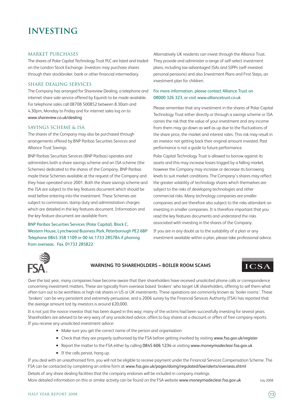### **investing**

#### MARKET PURCHASES

The shares of Polar Capital Technology Trust PLC are listed and traded on the London Stock Exchange. Investors may purchase shares through their stockbroker, bank or other financial intermediary.

### Share dealing services

The Company has arranged for Shareview Dealing, a telephone and internet share sale service offered by Equiniti to be made available. For telephone sales call 08708 500852 between 8.30am and 4.30pm, Monday to Friday and for internet sales log on to www.shareview.co.uk/dealing

### Savings scheme & ISA

The shares of the Company may also be purchased through arrangements offered by BNP Paribas Securities Services and Alliance Trust Savings.

BNP Paribas Securities Services (BNP Paribas) operates and administers both a share savings scheme and an ISA scheme (the Schemes) dedicated to the shares of the Company. BNP Paribas made these Schemes available at the request of the Company and they have operated since 2001. Both the share savings scheme and the ISA are subject to the key features document which should be read before entering into the investment. These Schemes are subject to commission, stamp duty and administration charges which are detailed in the key features document. Information and the key feature document are available from:

BNP Paribas Securities Services (Polar Capital), Block C, Western House, Lynchwood Business Park, Peterborough PE2 6BP Telephone 0845 358 1109 or 00 44 1733 285784 if phoning from overseas. Fax. 01733 285822

Alternatively UK residents can invest through the Alliance Trust. They provide and administer a range of self-select investment plans, including tax-advantaged ISAs and SIPPs (self-invested personal pensions) and also Investment Plans and First Steps, an investment plan for children.

### For more information, please contact Alliance Trust on 08000 326 323, or visit www.alliancetrust.co.uk

Please remember that any investment in the shares of Polar Capital Technology Trust either directly or through a savings scheme or ISA carries the risk that the value of your investment and any income from them may go down as well as up due to the fluctuations of the share price, the market and interest rates. This risk may result in an investor not getting back their original amount invested. Past performance is not a guide to future performance.

Polar Capital Technology Trust is allowed to borrow against its assets and this may increase losses trigged by a falling market, however the Company may increase or decrease its borrowing levels to suit market conditions. The Company's shares may reflect the greater volatility of technology shares which themselves are subject to the risks of developing technologies and other commercial risks. Many technology companies are smaller companies and are therefore also subject to the risks attendant on investing in smaller companies. It is therefore important that you read the key features documents and understand the risks associated with investing in the shares of the Company.

If you are in any doubt as to the suitability of a plan or any investment available within a plan, please take professional advice.



### **WARNING TO SHAREHOLDERS – BOILER ROOM SCAMS**

### **ICSA**

Over the last year, many companies have become aware that their shareholders have received unsolicited phone calls or correspondence concerning investment matters. These are typically from overseas based 'brokers' who target UK shareholders, offering to sell them what often turn out to be worthless or high risk shares in US or UK investments. These operations are commonly known as 'boiler rooms'. These 'brokers' can be very persistent and extremely persuasive, and a 2006 survey by the Financial Services Authority (FSA) has reported that the average amount lost by investors is around £20,000.

It is not just the novice investor that has been duped in this way; many of the victims had been successfully investing for several years. Shareholders are advised to be very wary of any unsolicited advice, offers to buy shares at a discount or offers of free company reports. If you receive any unsolicited investment advice:

- Make sure you get the correct name of the person and organisation
- Check that they are properly authorised by the FSA before getting involved by visiting www.fsa.gov.uk/register
- Report the matter to the FSA either by calling 0845 606 1234 or visiting www.moneymadeclear.fsa.gov.uk
- If the calls persist, hang up.

If you deal with an unauthorised firm, you will not be eligible to receive payment under the Financial Services Compensation Scheme. The FSA can be contacted by completing an online form at www.fsa.gov.uk/pages/doing/regulated/law/alerts/overseas.shtml

Details of any share dealing facilities that the company endorses will be included in company mailings. More detailed information on this or similar activity can be found on the FSA website www.moneymadeclear.fsa.gov.uk July 2008